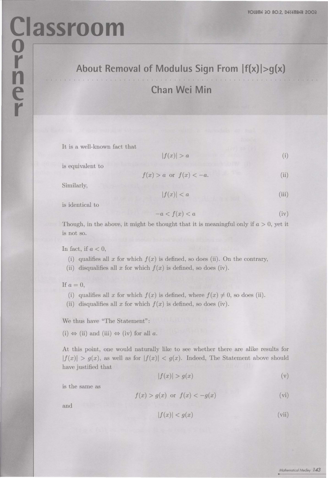## **Classroom** About Removal of Modulus Sign From  $|f(x)| > g(x)$

## **Chan Wei Min**

It is a well-known fact that

 $|f(x)| > a$  (i)

is equivalent to

 $f(x) > a$  or  $f(x) < -a$ . (ii)

Similarly,

$$
|f(x)| < a \tag{iii}
$$

is identical to

$$
-a < f(x) < a \tag{iv}
$$

Though, in the above, it might be thought that it is meaningful only if *a* > 0, yet it is not so.

In fact, if  $a < 0$ ,

- (i) qualifies all  $x$  for which  $f(x)$  is defined, so does (ii). On the contrary,
- (ii) disqualifies all  $x$  for which  $f(x)$  is defined, so does (iv).

If  $a = 0$ ,

- (i) qualifies all *x* for which  $f(x)$  is defined, where  $f(x) \neq 0$ , so does (ii).
- (ii) disqualifies all x for which  $f(x)$  is defined, so does (iv).

We thus have "The Statement":

 $(i) \Leftrightarrow (ii)$  and  $(iii) \Leftrightarrow (iv)$  for all *a*.

At this point, one would naturally like to see whether there are alike results for  $|f(x)| > g(x)$ , as well as for  $|f(x)| < g(x)$ . Indeed, The Statement above should have justified that

$$
|f(x)| > g(x) \tag{v}
$$

is the same as

$$
f(x) > g(x) \text{ or } f(x) < -g(x) \tag{vi}
$$

and

$$
|f(x)| < g(x) \tag{vii}
$$

*/'v1athemoticol Medley* **143**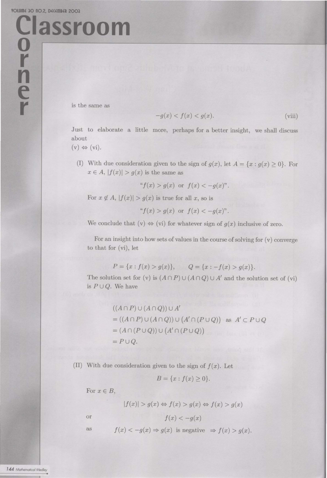**0** 

**r** 

**n** 

**e** 

**r** 

**Classroom** 

is the same as

$$
-g(x) < f(x) < g(x). \tag{viii}
$$

Just to elaborate a little more, perhaps for a better insight, we shall discuss about

 $(v) \Leftrightarrow (vi).$ 

(I) With due consideration given to the sign of  $g(x)$ , let  $A = \{x : g(x) \ge 0\}$ . For  $x \in A$ ,  $|f(x)| > g(x)$  is the same as

 $f(x) > g(x)$  or  $f(x) < -g(x)$ ".

For  $x \notin A$ ,  $|f(x)| > g(x)$  is true for all x, so is

 $f'(x) > g(x)$  or  $f(x) < -g(x)$ ".

We conclude that  $(v) \Leftrightarrow (vi)$  for whatever sign of  $g(x)$  inclusive of zero.

For an insight into how sets of values in the course of solving for  $(v)$  converge to that for (vi), let

$$
P = \{x : f(x) > g(x)\}, \qquad Q = \{x : -f(x) > g(x)\}.
$$

The solution set for (v) is  $(A \cap P) \cup (A \cap Q) \cup A'$  and the solution set of (vi) is  $P\cup Q$ . We have

$$
((A \cap P) \cup (A \cap Q)) \cup A'
$$
  
= ((A \cap P) \cup (A \cap Q)) \cup (A' \cap (P \cup Q)) as A' \subset P \cup Q  
= (A \cap (P \cup Q)) \cup (A' \cap (P \cup Q))  
= P \cup Q.

(II) With due consideration given to the sign of  $f(x)$ . Let

$$
B = \{x : f(x) \ge 0\}.
$$

For  $x \in B$ ,

$$
|f(x)| > g(x) \Leftrightarrow f(x) > g(x) \Leftrightarrow f(x) > g(x)
$$

or  $f(x) < -q(x)$ 

as  $f(x) < -g(x) \Rightarrow g(x)$  is negative  $\Rightarrow f(x) > g(x)$ .